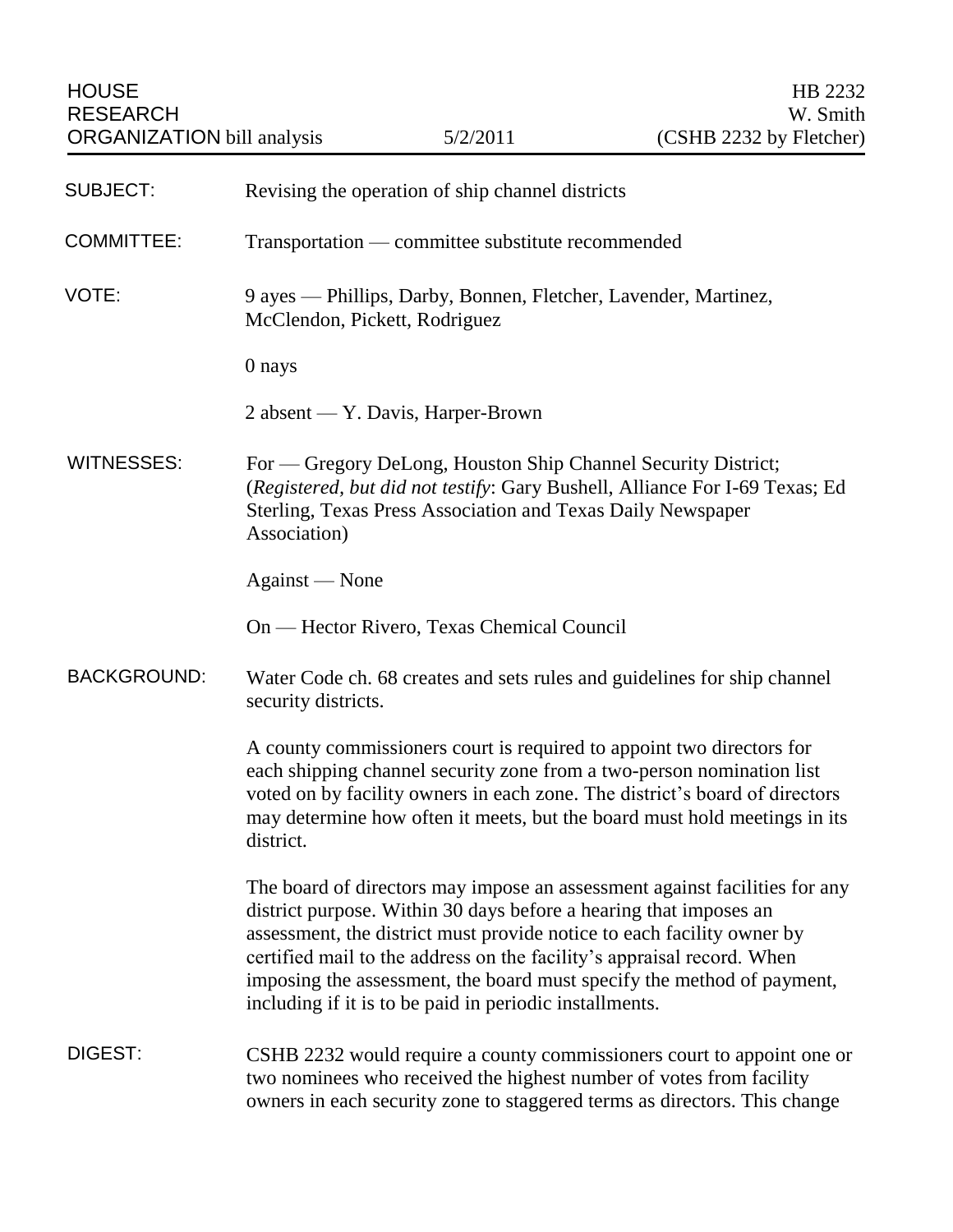| <b>SUBJECT:</b>    | Revising the operation of ship channel districts                                                                                                                                                                                                                                                                                                                                                                                         |
|--------------------|------------------------------------------------------------------------------------------------------------------------------------------------------------------------------------------------------------------------------------------------------------------------------------------------------------------------------------------------------------------------------------------------------------------------------------------|
| <b>COMMITTEE:</b>  | Transportation — committee substitute recommended                                                                                                                                                                                                                                                                                                                                                                                        |
| VOTE:              | 9 ayes — Phillips, Darby, Bonnen, Fletcher, Lavender, Martinez,<br>McClendon, Pickett, Rodriguez                                                                                                                                                                                                                                                                                                                                         |
|                    | 0 nays                                                                                                                                                                                                                                                                                                                                                                                                                                   |
|                    | 2 absent — Y. Davis, Harper-Brown                                                                                                                                                                                                                                                                                                                                                                                                        |
| <b>WITNESSES:</b>  | For - Gregory DeLong, Houston Ship Channel Security District;<br>(Registered, but did not testify: Gary Bushell, Alliance For I-69 Texas; Ed<br>Sterling, Texas Press Association and Texas Daily Newspaper<br>Association)                                                                                                                                                                                                              |
|                    | Against — None                                                                                                                                                                                                                                                                                                                                                                                                                           |
|                    | On — Hector Rivero, Texas Chemical Council                                                                                                                                                                                                                                                                                                                                                                                               |
| <b>BACKGROUND:</b> | Water Code ch. 68 creates and sets rules and guidelines for ship channel<br>security districts.                                                                                                                                                                                                                                                                                                                                          |
|                    | A county commissioners court is required to appoint two directors for<br>each shipping channel security zone from a two-person nomination list<br>voted on by facility owners in each zone. The district's board of directors<br>may determine how often it meets, but the board must hold meetings in its<br>district.                                                                                                                  |
|                    | The board of directors may impose an assessment against facilities for any<br>district purpose. Within 30 days before a hearing that imposes an<br>assessment, the district must provide notice to each facility owner by<br>certified mail to the address on the facility's appraisal record. When<br>imposing the assessment, the board must specify the method of payment,<br>including if it is to be paid in periodic installments. |
| DIGEST:            | CSHB 2232 would require a county commissioners court to appoint one or<br>two nominees who received the highest number of votes from facility<br>owners in each security zone to staggered terms as directors. This change                                                                                                                                                                                                               |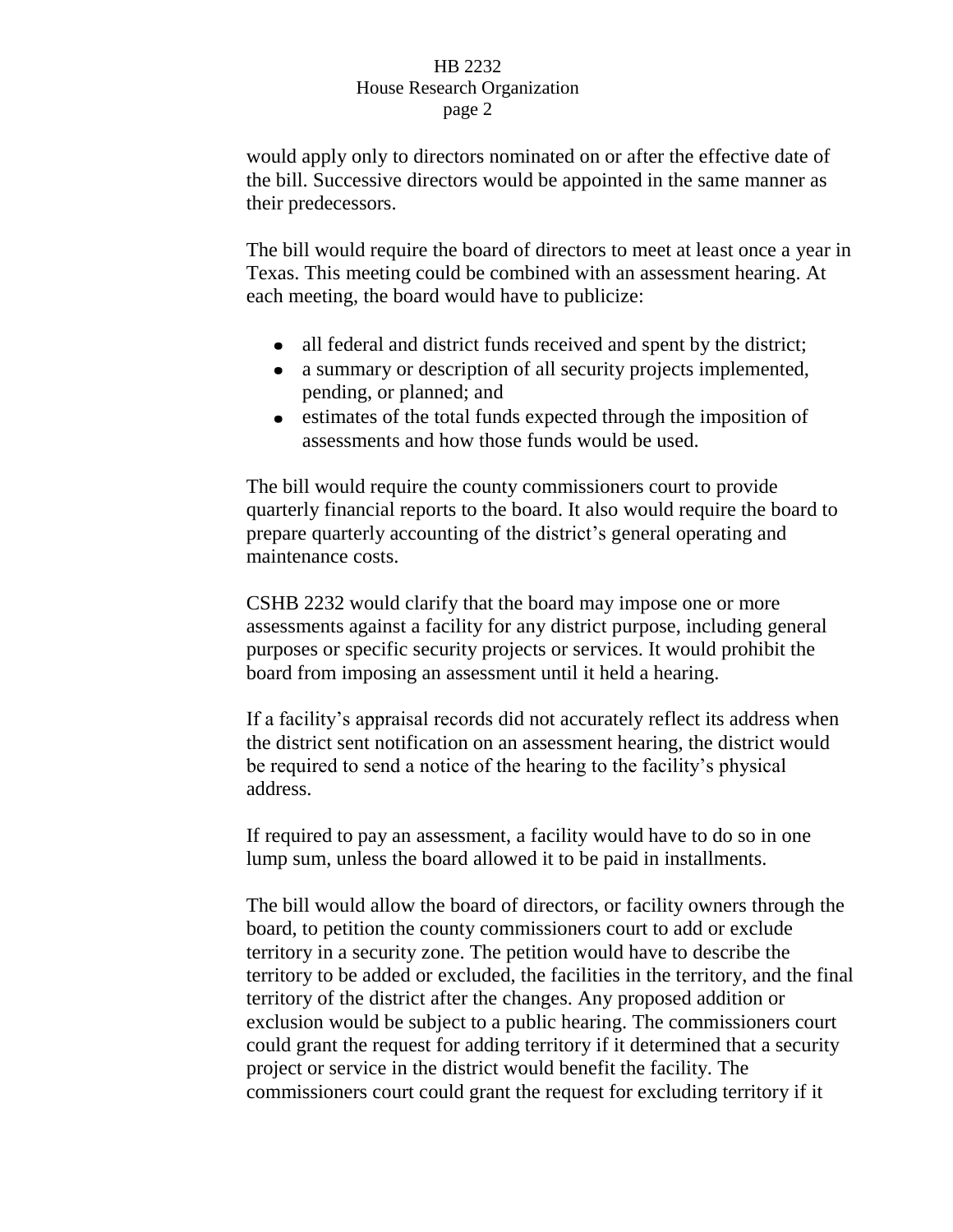## HB 2232 House Research Organization page 2

would apply only to directors nominated on or after the effective date of the bill. Successive directors would be appointed in the same manner as their predecessors.

The bill would require the board of directors to meet at least once a year in Texas. This meeting could be combined with an assessment hearing. At each meeting, the board would have to publicize:

- all federal and district funds received and spent by the district;
- a summary or description of all security projects implemented,  $\bullet$ pending, or planned; and
- estimates of the total funds expected through the imposition of assessments and how those funds would be used.

The bill would require the county commissioners court to provide quarterly financial reports to the board. It also would require the board to prepare quarterly accounting of the district's general operating and maintenance costs.

CSHB 2232 would clarify that the board may impose one or more assessments against a facility for any district purpose, including general purposes or specific security projects or services. It would prohibit the board from imposing an assessment until it held a hearing.

If a facility's appraisal records did not accurately reflect its address when the district sent notification on an assessment hearing, the district would be required to send a notice of the hearing to the facility's physical address.

If required to pay an assessment, a facility would have to do so in one lump sum, unless the board allowed it to be paid in installments.

The bill would allow the board of directors, or facility owners through the board, to petition the county commissioners court to add or exclude territory in a security zone. The petition would have to describe the territory to be added or excluded, the facilities in the territory, and the final territory of the district after the changes. Any proposed addition or exclusion would be subject to a public hearing. The commissioners court could grant the request for adding territory if it determined that a security project or service in the district would benefit the facility. The commissioners court could grant the request for excluding territory if it